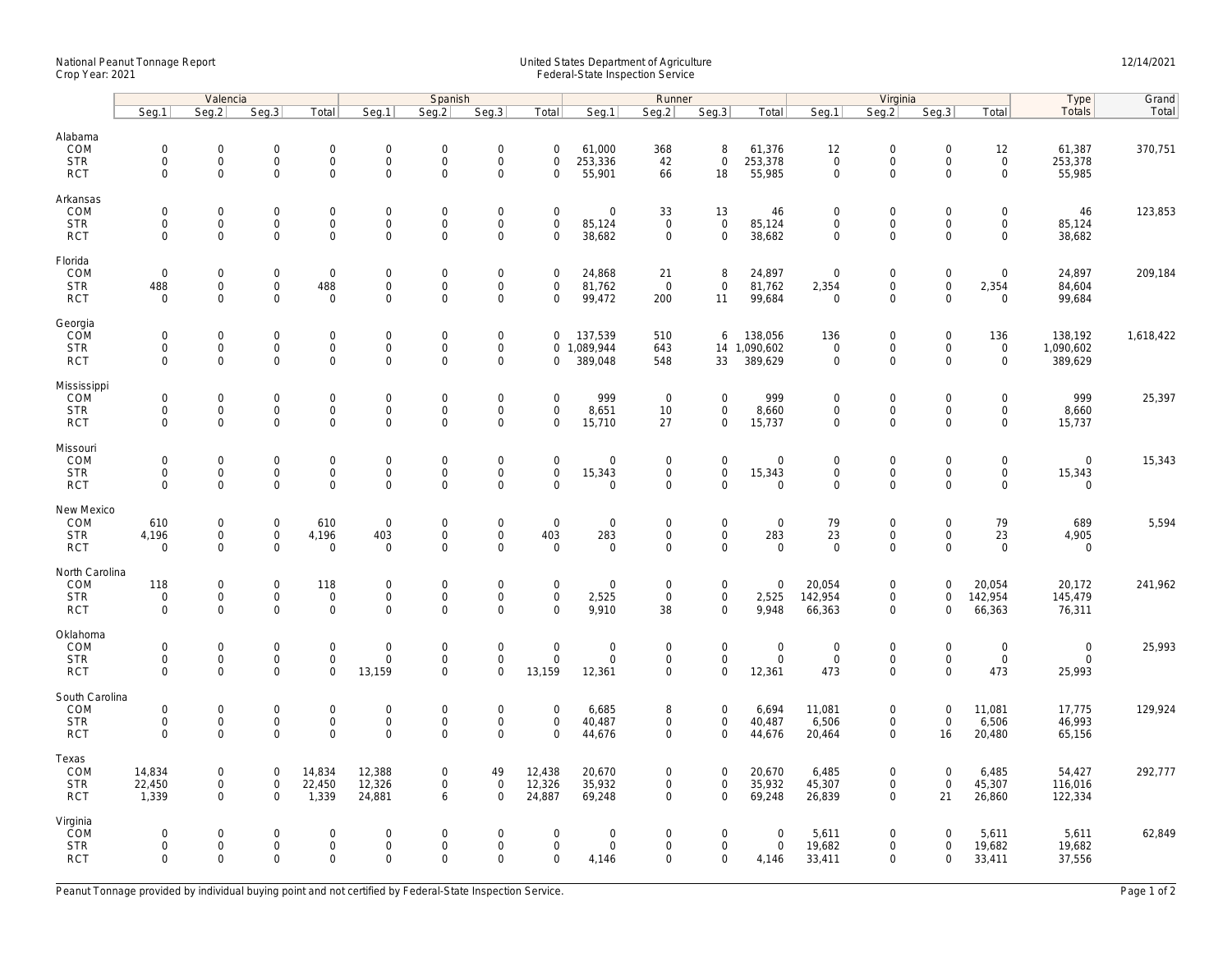## National Peanut Tonnage Report United States Department of Agriculture 12/14/2021<br>Crop Year: 2021 Federal-State Inspection Service

|                                                    | Valencia                                  |                                                                   |                                            |                                                           | Spanish                                         |                                                   |                                                           |                                                |                                                     | Runner                                    |                                                           |                                      |                                                   | Virginia                                                   | Type                                                   | Grand                                              |                                      |           |
|----------------------------------------------------|-------------------------------------------|-------------------------------------------------------------------|--------------------------------------------|-----------------------------------------------------------|-------------------------------------------------|---------------------------------------------------|-----------------------------------------------------------|------------------------------------------------|-----------------------------------------------------|-------------------------------------------|-----------------------------------------------------------|--------------------------------------|---------------------------------------------------|------------------------------------------------------------|--------------------------------------------------------|----------------------------------------------------|--------------------------------------|-----------|
|                                                    | Seg.1                                     | Seg.2                                                             | Seq.3                                      | Total                                                     | Seg.1                                           | Seg.2                                             | Seg.3                                                     | Total                                          | Seg.1                                               | Seg.2                                     | Seg.3                                                     | Total                                | Seg.1                                             | Seq.2                                                      | Seg.3                                                  | Total                                              | Totals                               | Total     |
| Alabama<br>COM<br><b>STR</b><br><b>RCT</b>         | $\mathbf 0$<br>$\mathbf 0$<br>$\mathbf 0$ | 0<br>$\mathbf 0$<br>$\mathbf 0$                                   | $\mathbf 0$<br>$\mathsf{O}$<br>$\mathbf 0$ | $\mathsf{O}\xspace$<br>$\mathbf 0$<br>$\mathbf{0}$        | $\boldsymbol{0}$<br>$\mathsf{O}$<br>$\mathbf 0$ | $\mathbf 0$<br>$\mathsf 0$<br>$\mathbf 0$         | $\mathbf 0$<br>$\mathsf 0$<br>$\mathbf 0$                 | $\mathbf 0$<br>$\mathbf 0$<br>$\mathbf 0$      | 61,000<br>253,336<br>55,901                         | 368<br>42<br>66                           | 8<br>$\mathsf 0$<br>18                                    | 61,376<br>253,378<br>55,985          | 12<br>$\mathbf 0$<br>$\mathbf 0$                  | $\mathbf 0$<br>$\mathsf{O}$<br>$\mathbf 0$                 | $\mathbf 0$<br>$\mathbf 0$<br>$\Omega$                 | 12<br>$\mathsf 0$<br>$\mathbf{0}$                  | 61,387<br>253,378<br>55,985          | 370,751   |
| Arkansas<br>COM<br><b>STR</b><br><b>RCT</b>        | $\mathbf 0$<br>$\mathbf 0$<br>$\mathbf 0$ | $\mathbf 0$<br>$\mathsf{O}\xspace$<br>$\mathbf 0$                 | $\mathbf 0$<br>$\mathbf 0$<br>$\mathbf 0$  | $\mathbf 0$<br>$\mathbf 0$<br>$\mathbf 0$                 | $\mathsf{O}$<br>$\mathbf 0$<br>$\mathbf 0$      | $\mathbf 0$<br>$\mathsf 0$<br>$\mathbf 0$         | $\mathsf{O}\xspace$<br>$\mathsf{O}\xspace$<br>$\mathbf 0$ | $\mathbf 0$<br>$\mathsf 0$<br>$\mathbf 0$      | $\mathsf{O}\xspace$<br>85,124<br>38,682             | 33<br>$\overline{0}$<br>$\mathbf 0$       | 13<br>$\mathbf 0$<br>$\mathbf 0$                          | 46<br>85,124<br>38,682               | $\mathbf 0$<br>$\mathbf 0$<br>$\mathbf 0$         | $\mathsf{O}\xspace$<br>$\mathsf{O}\xspace$<br>$\mathbf 0$  | $\mathbf 0$<br>$\mathsf 0$<br>$\mathbf 0$              | $\mathbf 0$<br>$\mathbf 0$<br>$\mathbf 0$          | 46<br>85,124<br>38,682               | 123,853   |
| Florida<br>COM<br><b>STR</b><br><b>RCT</b>         | $\mathbf 0$<br>488<br>$\Omega$            | $\mathsf{O}\xspace$<br>$\mathsf{O}\xspace$<br>$\Omega$            | $\mathbf 0$<br>$\mathbf 0$<br>$\mathbf 0$  | $\mathbf 0$<br>488<br>$\overline{0}$                      | $\mathbf 0$<br>$\mathsf{O}$<br>$\Omega$         | $\mathbf 0$<br>$\mathsf{O}\xspace$<br>$\Omega$    | $\mathsf{O}\xspace$<br>$\mathsf{O}\xspace$<br>$\Omega$    | $\mathsf{O}\xspace$<br>$\mathbf 0$<br>$\Omega$ | 24,868<br>81,762<br>99,472                          | 21<br>$\overline{0}$<br>200               | 8<br>$\mathbf 0$<br>11                                    | 24,897<br>81,762<br>99,684           | $\mathbf 0$<br>2,354<br>$\overline{0}$            | $\mathsf{O}\xspace$<br>$\mathsf{O}\xspace$<br>$\Omega$     | $\mathsf{O}\xspace$<br>$\mathsf{O}\xspace$<br>$\Omega$ | $\mathsf{O}\xspace$<br>2,354<br>$\Omega$           | 24,897<br>84,604<br>99,684           | 209,184   |
| Georgia<br>COM<br><b>STR</b><br><b>RCT</b>         | $\mathbf 0$<br>0<br>$\mathbf 0$           | $\mathbf{0}$<br>$\mathsf{O}\xspace$<br>$\mathbf 0$                | $\mathbf 0$<br>$\mathbf 0$<br>$\mathbf 0$  | $\mathbf{0}$<br>0<br>$\mathbf 0$                          | $\mathbf 0$<br>$\mathsf{O}$<br>$\mathbf 0$      | $\mathbf 0$<br>$\mathbf 0$<br>$\mathbf 0$         | $\mathsf{O}\xspace$<br>$\mathsf{O}\xspace$<br>$\mathbf 0$ | $\mathbf 0$<br>$\mathbf 0$                     | 137,539<br>0 1,089,944<br>389,048                   | 510<br>643<br>548                         | 6<br>33                                                   | 138,056<br>14 1,090,602<br>389,629   | 136<br>$\mathbf 0$<br>$\mathsf{O}\xspace$         | $\mathbf 0$<br>$\mathsf{O}\xspace$<br>$\mathbf 0$          | $\mathbf 0$<br>0<br>$\mathbf 0$                        | 136<br>$\mathbf 0$<br>$\mathbf{0}$                 | 138,192<br>1,090,602<br>389,629      | 1,618,422 |
| Mississippi<br>COM<br><b>STR</b><br><b>RCT</b>     | $\mathbf 0$<br>$\mathbf 0$<br>$\mathbf 0$ | $\mathsf{O}\xspace$<br>$\mathsf{O}\xspace$<br>$\mathsf{O}\xspace$ | $\mathbf 0$<br>$\mathbf 0$<br>0            | $\mathsf{O}\xspace$<br>$\mathsf{O}$<br>$\mathbf 0$        | $\mathbf 0$<br>$\mathsf{O}$<br>$\mathsf 0$      | $\mathbf 0$<br>$\mathbf 0$<br>$\mathsf{O}\xspace$ | $\mathsf{O}\xspace$<br>$\mathbf 0$<br>$\mathsf{O}\xspace$ | $\mathbf 0$<br>$\mathbf 0$<br>$\Omega$         | 999<br>8,651<br>15,710                              | $\overline{0}$<br>10<br>27                | $\mathsf{O}\xspace$<br>$\mathbf 0$<br>$\mathbf 0$         | 999<br>8,660<br>15,737               | $\mathbf 0$<br>$\mathbf 0$<br>$\mathsf{O}\xspace$ | $\mathbf 0$<br>$\mathbf 0$<br>$\mathsf{O}\xspace$          | $\mathbf 0$<br>$\mathbf 0$<br>$\Omega$                 | $\mathbf 0$<br>$\mathsf{O}$<br>$\mathsf{O}\xspace$ | 999<br>8,660<br>15,737               | 25,397    |
| Missouri<br>COM<br><b>STR</b><br><b>RCT</b>        | $\mathbf 0$<br>$\mathbf 0$<br>$\mathbf 0$ | $\mathbf{0}$<br>$\mathsf{O}\xspace$<br>$\mathbf 0$                | $\mathbf 0$<br>$\mathbf 0$<br>$\mathbf 0$  | $\mathbf 0$<br>$\mathbf 0$<br>$\mathbf 0$                 | $\mathsf{O}$<br>$\mathsf{O}$<br>$\mathbf 0$     | $\mathbf 0$<br>$\mathsf{O}\xspace$<br>$\mathbf 0$ | $\mathsf{O}\xspace$<br>$\mathsf{O}\xspace$<br>$\mathbf 0$ | $\mathbf 0$<br>$\mathsf{O}\xspace$<br>$\Omega$ | $\mathbf 0$<br>15,343<br>$\mathbf 0$                | $\mathbf 0$<br>$\mathbf 0$<br>$\mathbf 0$ | $\mathsf{O}\xspace$<br>$\mathbf 0$<br>$\mathbf{0}$        | $\mathbf 0$<br>15,343<br>$\mathbf 0$ | $\mathbf 0$<br>$\mathsf{O}\xspace$<br>$\mathbf 0$ | $\mathbf 0$<br>$\mathsf{O}\xspace$<br>$\mathbf 0$          | $\Omega$<br>$\mathsf{O}\xspace$<br>$\mathbf 0$         | $\mathbf 0$<br>$\mathsf{O}$<br>$\mathbf 0$         | $\mathbf 0$<br>15,343<br>$\mathbf 0$ | 15,343    |
| New Mexico<br>COM<br><b>STR</b><br><b>RCT</b>      | 610<br>4,196<br>$\mathbf 0$               | $\mathbf 0$<br>$\mathsf{O}\xspace$<br>$\mathbf 0$                 | $\mathbf 0$<br>$\mathbf 0$<br>0            | 610<br>4,196<br>$\mathsf{O}\xspace$                       | $\mathbf 0$<br>403<br>$\mathbf 0$               | $\mathbf 0$<br>$\mathbf 0$<br>$\mathbf 0$         | $\mathsf{O}\xspace$<br>$\mathbf 0$<br>$\mathbf 0$         | $\mathbf 0$<br>403<br>$\mathbf 0$              | $\mathbf 0$<br>283<br>$\mathbf 0$                   | $\mathbf 0$<br>$\mathbf 0$<br>0           | $\mathbf 0$<br>$\mathbf 0$<br>$\mathbf 0$                 | $\mathbf 0$<br>283<br>$\mathbf 0$    | 79<br>23<br>$\mathbf 0$                           | $\mathsf{O}\xspace$<br>$\mathbf 0$<br>$\mathsf{O}\xspace$  | $\mathbf 0$<br>$\mathbf 0$<br>$\mathbf 0$              | 79<br>23<br>$\mathbf 0$                            | 689<br>4,905<br>$\mathbf 0$          | 5,594     |
| North Carolina<br>COM<br><b>STR</b><br><b>RCT</b>  | 118<br>$\mathbf 0$<br>$\mathbf 0$         | 0<br>$\mathbf 0$<br>$\mathbf 0$                                   | $\mathbf 0$<br>$\mathsf 0$<br>$\mathbf 0$  | 118<br>$\mathsf{O}\xspace$<br>$\mathbf 0$                 | $\mathbf 0$<br>$\mathbf 0$<br>$\mathbf 0$       | $\mathbf 0$<br>$\mathsf{O}\xspace$<br>$\mathbf 0$ | $\mathsf{O}\xspace$<br>$\mathsf{O}\xspace$<br>$\mathbf 0$ | $\mathbf 0$<br>$\mathsf{O}\xspace$<br>$\Omega$ | $\mathbf 0$<br>2,525<br>9,910                       | $\mathbf 0$<br>$\mathsf 0$<br>38          | $\mathsf{O}\xspace$<br>$\mathbf 0$<br>$\mathbf{0}$        | $\boldsymbol{0}$<br>2,525<br>9,948   | 20,054<br>142,954<br>66,363                       | $\mathsf{O}\xspace$<br>$\mathsf{O}\xspace$<br>$\mathbf 0$  | 0<br>$\mathbf 0$<br>$\Omega$                           | 20,054<br>142,954<br>66,363                        | 20,172<br>145,479<br>76,311          | 241,962   |
| Oklahoma<br>COM<br><b>STR</b><br><b>RCT</b>        | $\mathbf 0$<br>$\mathbf 0$<br>$\mathbf 0$ | $\mathsf{O}\xspace$<br>$\mathsf{O}\xspace$<br>$\mathbf 0$         | $\mathbf 0$<br>$\mathbf 0$<br>$\mathbf 0$  | $\mathsf{O}\xspace$<br>$\mathsf{O}\xspace$<br>$\mathbf 0$ | $\mathbf 0$<br>$\mathsf{O}$<br>13,159           | $\mathbf 0$<br>$\mathbf 0$<br>$\mathbf 0$         | $\mathsf{O}\xspace$<br>$\mathbf 0$<br>$\mathbf 0$         | $\mathbf 0$<br>$\mathbf 0$<br>13,159           | $\mathsf{O}\xspace$<br>$\mathbf 0$<br>12,361        | $\mathbf 0$<br>$\mathbf 0$<br>$\mathbf 0$ | $\mathsf{O}\xspace$<br>$\mathsf{O}\xspace$<br>$\mathbf 0$ | $\mathbf 0$<br>$\mathbf 0$<br>12,361 | $\mathbf 0$<br>$\mathbf{0}$<br>473                | $\mathsf{O}\xspace$<br>$\mathsf{O}$<br>$\mathsf{O}\xspace$ | $\mathbf 0$<br>$\mathbf 0$<br>$\Omega$                 | $\mathsf{O}\xspace$<br>$\mathbf 0$<br>473          | $\mathbf 0$<br>$\mathbf 0$<br>25,993 | 25,993    |
| South Carolina<br>COM<br><b>STR</b><br><b>RCT</b>  | $\mathbf 0$<br>$\mathbf 0$<br>$\Omega$    | 0<br>$\mathbf 0$<br>$\mathbf 0$                                   | $\mathbf 0$<br>$\mathbf 0$<br>$\Omega$     | $\mathsf{O}\xspace$<br>$\mathbf 0$<br>$\mathbf{O}$        | $\mathbf 0$<br>$\mathbf 0$<br>$\mathbf 0$       | $\mathbf 0$<br>$\mathbf 0$<br>$\mathbf 0$         | $\mathsf{O}\xspace$<br>$\mathsf{O}\xspace$<br>$\Omega$    | $\mathbf 0$<br>$\mathbf 0$<br>$\Omega$         | 6,685<br>40,487<br>44,676                           | 8<br>$\mathbf 0$<br>$\mathbf 0$           | $\mathbf 0$<br>$\mathbf{0}$<br>$\mathbf{0}$               | 6,694<br>40,487<br>44,676            | 11,081<br>6,506<br>20,464                         | $\mathbf 0$<br>$\mathsf{O}$<br>$\mathbf 0$                 | $\mathbf 0$<br>$\mathbf 0$<br>16                       | 11,081<br>6,506<br>20,480                          | 17,775<br>46,993<br>65,156           | 129,924   |
| Texas<br>COM<br><b>STR</b><br><b>RCT</b>           | 14,834<br>22,450<br>1,339                 | $\mathbf 0$<br>$\mathsf{O}\xspace$<br>$\mathbf 0$                 | $\mathbf 0$<br>$\mathsf 0$<br>$\mathbf 0$  | 14,834<br>22,450<br>1,339                                 | 12,388<br>12,326<br>24,881                      | $\mathbf 0$<br>$\mathbf 0$<br>6                   | 49<br>$\mathsf{O}\xspace$<br>$\mathbf 0$                  | 12,438<br>12,326<br>24,887                     | 20,670<br>35,932<br>69,248                          | 0<br>0<br>$\mathbf 0$                     | $\overline{0}$<br>$\mathbf 0$<br>$\mathbf 0$              | 20,670<br>35,932<br>69,248           | 6,485<br>45,307<br>26,839                         | $\mathbf 0$<br>$\mathsf{O}\xspace$<br>$\mathbf 0$          | $\mathbf{0}$<br>$\mathsf{O}\xspace$<br>21              | 6,485<br>45,307<br>26,860                          | 54,427<br>116,016<br>122,334         | 292,777   |
| Virginia<br><b>COM</b><br><b>STR</b><br><b>RCT</b> | $\mathbf 0$<br>0<br>$\Omega$              | $\mathsf{O}\xspace$<br>$\mathsf{O}\xspace$<br>$\Omega$            | $\mathbf 0$<br>$\mathbf 0$<br>$\Omega$     | $\mathsf{O}\xspace$<br>$\mathbf 0$<br>$\mathbf 0$         | $\mathbf 0$<br>$\mathbf 0$<br>$\Omega$          | $\mathbf 0$<br>$\mathsf{O}\xspace$<br>$\Omega$    | $\mathsf{O}\xspace$<br>$\mathsf{O}\xspace$<br>$\Omega$    | $\mathbf 0$<br>$\mathsf 0$<br>$\Omega$         | $\mathsf{O}\xspace$<br>$\mathsf{O}\xspace$<br>4,146 | 0<br>0<br>$\Omega$                        | $\mathbf 0$<br>$\mathbf 0$<br>$\mathbf 0$                 | $\mathbf 0$<br>$\mathbf 0$<br>4,146  | 5,611<br>19,682<br>33,411                         | $\mathsf{O}\xspace$<br>$\mathsf{O}\xspace$<br>$\Omega$     | $\mathbf 0$<br>0<br>$\Omega$                           | 5,611<br>19,682<br>33,411                          | 5,611<br>19,682<br>37,556            | 62,849    |